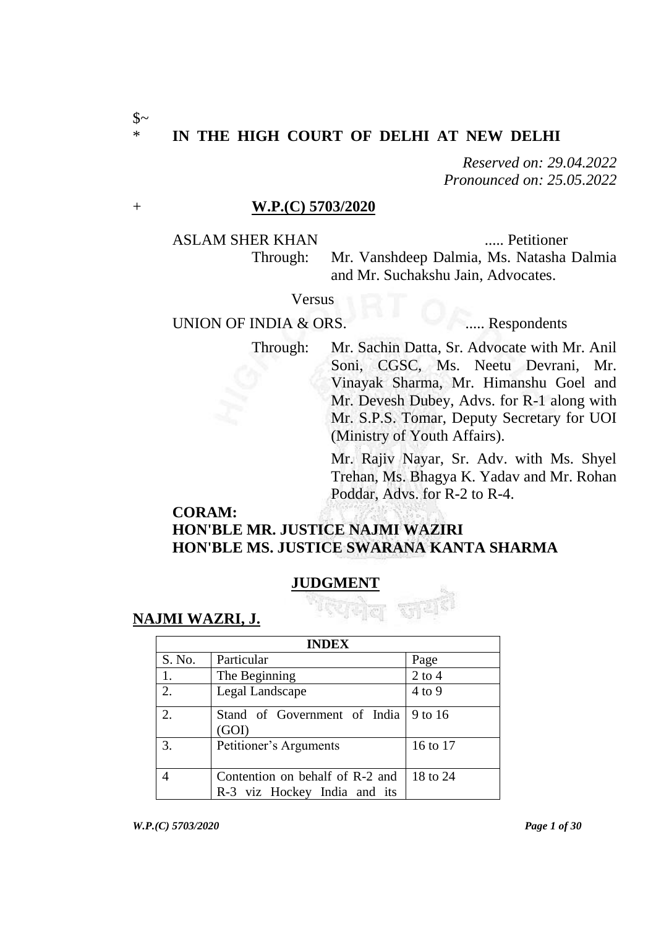#### \* **IN THE HIGH COURT OF DELHI AT NEW DELHI**

*Reserved on: 29.04.2022 Pronounced on: 25.05.2022*

#### + **W.P.(C) 5703/2020**

ASLAM SHER KHAN ...... Petitioner

Through: Mr. Vanshdeep Dalmia, Ms. Natasha Dalmia and Mr. Suchakshu Jain, Advocates.

Versus

# UNION OF INDIA & ORS. ...... Respondents

Through: Mr. Sachin Datta, Sr. Advocate with Mr. Anil Soni, CGSC, Ms. Neetu Devrani, Mr. Vinayak Sharma, Mr. Himanshu Goel and Mr. Devesh Dubey, Advs. for R-1 along with Mr. S.P.S. Tomar, Deputy Secretary for UOI (Ministry of Youth Affairs).

> Mr. Rajiv Nayar, Sr. Adv. with Ms. Shyel Trehan, Ms. Bhagya K. Yadav and Mr. Rohan Poddar, Advs. for R-2 to R-4.

## **CORAM: HON'BLE MR. JUSTICE NAJMI WAZIRI HON'BLE MS. JUSTICE SWARANA KANTA SHARMA**

# **JUDGMENT**



| <b>INDEX</b> |                                                                 |            |  |  |
|--------------|-----------------------------------------------------------------|------------|--|--|
| S. No.       | Particular                                                      | Page       |  |  |
| 1.           | The Beginning                                                   | $2$ to $4$ |  |  |
| 2.           | Legal Landscape                                                 | $4$ to 9   |  |  |
| 2.           | Stand of Government of India<br>(GOI)                           | 9 to 16    |  |  |
| 3.           | Petitioner's Arguments                                          | 16 to 17   |  |  |
| 4            | Contention on behalf of R-2 and<br>R-3 viz Hockey India and its | 18 to 24   |  |  |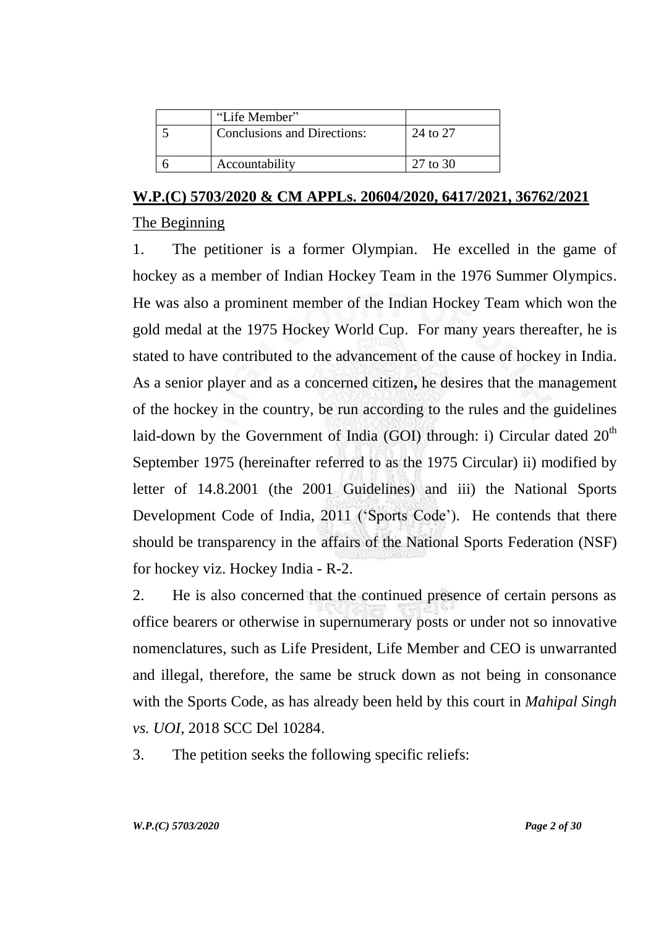| "Life Member"                      |          |
|------------------------------------|----------|
| <b>Conclusions and Directions:</b> | 24 to 27 |
| Accountability                     | 27 to 30 |

#### **W.P.(C) 5703/2020 & CM APPLs. 20604/2020, 6417/2021, 36762/2021**

#### The Beginning

1. The petitioner is a former Olympian. He excelled in the game of hockey as a member of Indian Hockey Team in the 1976 Summer Olympics. He was also a prominent member of the Indian Hockey Team which won the gold medal at the 1975 Hockey World Cup. For many years thereafter, he is stated to have contributed to the advancement of the cause of hockey in India. As a senior player and as a concerned citizen**,** he desires that the management of the hockey in the country, be run according to the rules and the guidelines laid-down by the Government of India (GOI) through: i) Circular dated  $20<sup>th</sup>$ September 1975 (hereinafter referred to as the 1975 Circular) ii) modified by letter of 14.8.2001 (the 2001 Guidelines) and iii) the National Sports Development Code of India, 2011 ('Sports Code'). He contends that there should be transparency in the affairs of the National Sports Federation (NSF) for hockey viz. Hockey India - R-2.

2. He is also concerned that the continued presence of certain persons as office bearers or otherwise in supernumerary posts or under not so innovative nomenclatures, such as Life President, Life Member and CEO is unwarranted and illegal, therefore, the same be struck down as not being in consonance with the Sports Code, as has already been held by this court in *Mahipal Singh vs. UOI*, 2018 SCC Del 10284.

3. The petition seeks the following specific reliefs: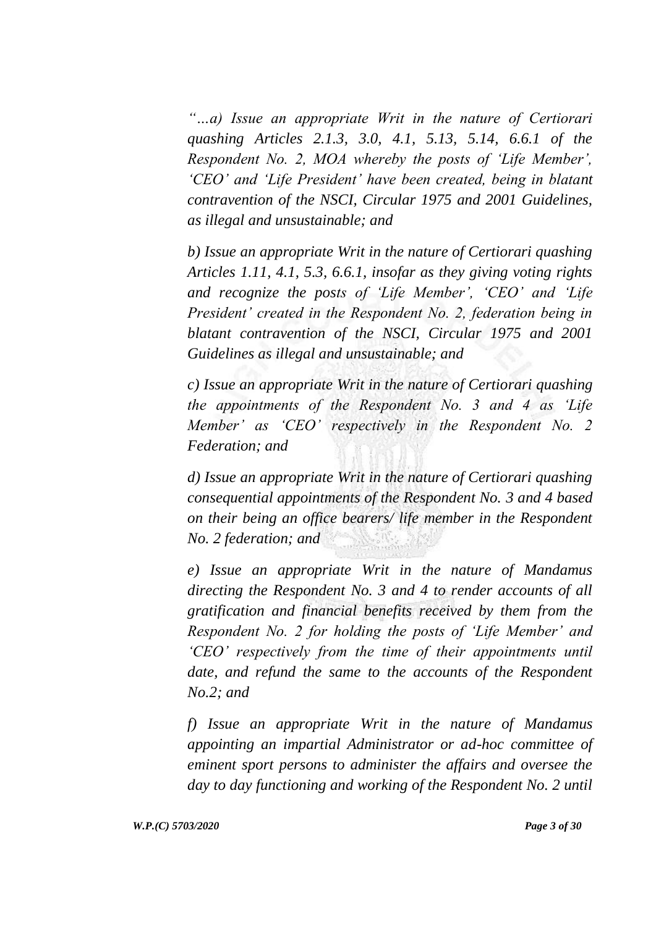*"…a) Issue an appropriate Writ in the nature of Certiorari quashing Articles 2.1.3, 3.0, 4.1, 5.13, 5.14, 6.6.1 of the Respondent No. 2, MOA whereby the posts of "Life Member", "CEO" and "Life President" have been created, being in blatant contravention of the NSCI, Circular 1975 and 2001 Guidelines, as illegal and unsustainable; and* 

*b) Issue an appropriate Writ in the nature of Certiorari quashing Articles 1.11, 4.1, 5.3, 6.6.1, insofar as they giving voting rights and recognize the posts of "Life Member", "CEO" and "Life President" created in the Respondent No. 2, federation being in blatant contravention of the NSCI, Circular 1975 and 2001 Guidelines as illegal and unsustainable; and*

*c) Issue an appropriate Writ in the nature of Certiorari quashing the appointments of the Respondent No. 3 and 4 as "Life Member" as "CEO" respectively in the Respondent No. 2 Federation; and* 

*d) Issue an appropriate Writ in the nature of Certiorari quashing consequential appointments of the Respondent No. 3 and 4 based on their being an office bearers/ life member in the Respondent No. 2 federation; and* 

*e) Issue an appropriate Writ in the nature of Mandamus directing the Respondent No. 3 and 4 to render accounts of all gratification and financial benefits received by them from the Respondent No. 2 for holding the posts of "Life Member" and "CEO" respectively from the time of their appointments until date, and refund the same to the accounts of the Respondent No.2; and* 

*f) Issue an appropriate Writ in the nature of Mandamus appointing an impartial Administrator or ad-hoc committee of eminent sport persons to administer the affairs and oversee the day to day functioning and working of the Respondent No. 2 until*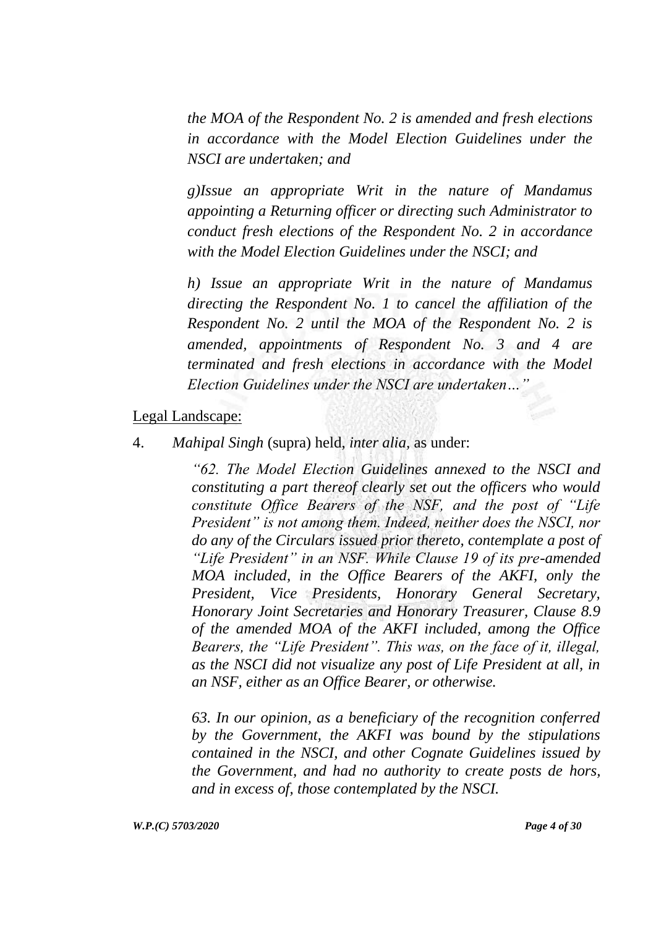*the MOA of the Respondent No. 2 is amended and fresh elections in accordance with the Model Election Guidelines under the NSCI are undertaken; and* 

*g)Issue an appropriate Writ in the nature of Mandamus appointing a Returning officer or directing such Administrator to conduct fresh elections of the Respondent No. 2 in accordance with the Model Election Guidelines under the NSCI; and*

*h) Issue an appropriate Writ in the nature of Mandamus directing the Respondent No. 1 to cancel the affiliation of the Respondent No. 2 until the MOA of the Respondent No. 2 is amended, appointments of Respondent No. 3 and 4 are terminated and fresh elections in accordance with the Model Election Guidelines under the NSCI are undertaken…"* 

#### Legal Landscape:

4. *Mahipal Singh* (supra) held, *inter alia,* as under:

*"62. The Model Election Guidelines annexed to the NSCI and constituting a part thereof clearly set out the officers who would constitute Office Bearers of the NSF, and the post of "Life President" is not among them. Indeed, neither does the NSCI, nor do any of the Circulars issued prior thereto, contemplate a post of "Life President" in an NSF. While Clause 19 of its pre-amended MOA included, in the Office Bearers of the AKFI, only the President, Vice Presidents, Honorary General Secretary, Honorary Joint Secretaries and Honorary Treasurer, Clause 8.9 of the amended MOA of the AKFI included, among the Office Bearers, the "Life President". This was, on the face of it, illegal, as the NSCI did not visualize any post of Life President at all, in an NSF, either as an Office Bearer, or otherwise.*

*63. In our opinion, as a beneficiary of the recognition conferred by the Government, the AKFI was bound by the stipulations contained in the NSCI, and other Cognate Guidelines issued by the Government, and had no authority to create posts de hors, and in excess of, those contemplated by the NSCI.*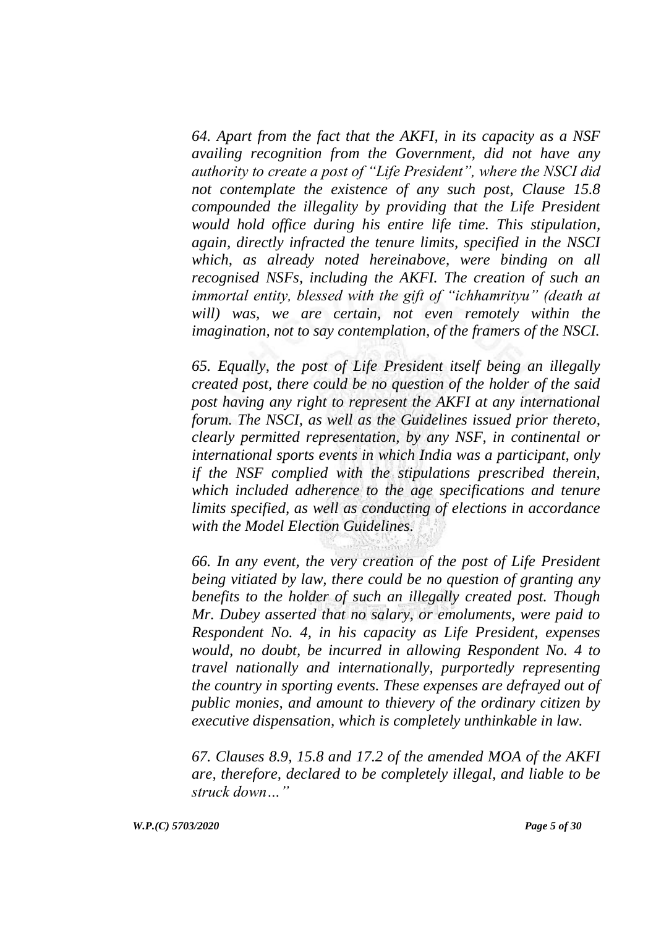*64. Apart from the fact that the AKFI, in its capacity as a NSF availing recognition from the Government, did not have any authority to create a post of "Life President", where the NSCI did not contemplate the existence of any such post, Clause 15.8 compounded the illegality by providing that the Life President would hold office during his entire life time. This stipulation, again, directly infracted the tenure limits, specified in the NSCI which, as already noted hereinabove, were binding on all recognised NSFs, including the AKFI. The creation of such an immortal entity, blessed with the gift of "ichhamrityu" (death at*  will) was, we are certain, not even remotely within the *imagination, not to say contemplation, of the framers of the NSCI.*

*65. Equally, the post of Life President itself being an illegally created post, there could be no question of the holder of the said post having any right to represent the AKFI at any international forum. The NSCI, as well as the Guidelines issued prior thereto, clearly permitted representation, by any NSF, in continental or international sports events in which India was a participant, only if the NSF complied with the stipulations prescribed therein, which included adherence to the age specifications and tenure limits specified, as well as conducting of elections in accordance with the Model Election Guidelines.*

*66. In any event, the very creation of the post of Life President being vitiated by law, there could be no question of granting any benefits to the holder of such an illegally created post. Though Mr. Dubey asserted that no salary, or emoluments, were paid to Respondent No. 4, in his capacity as Life President, expenses would, no doubt, be incurred in allowing Respondent No. 4 to travel nationally and internationally, purportedly representing the country in sporting events. These expenses are defrayed out of public monies, and amount to thievery of the ordinary citizen by executive dispensation, which is completely unthinkable in law.*

*67. Clauses 8.9, 15.8 and 17.2 of the amended MOA of the AKFI are, therefore, declared to be completely illegal, and liable to be struck down…"*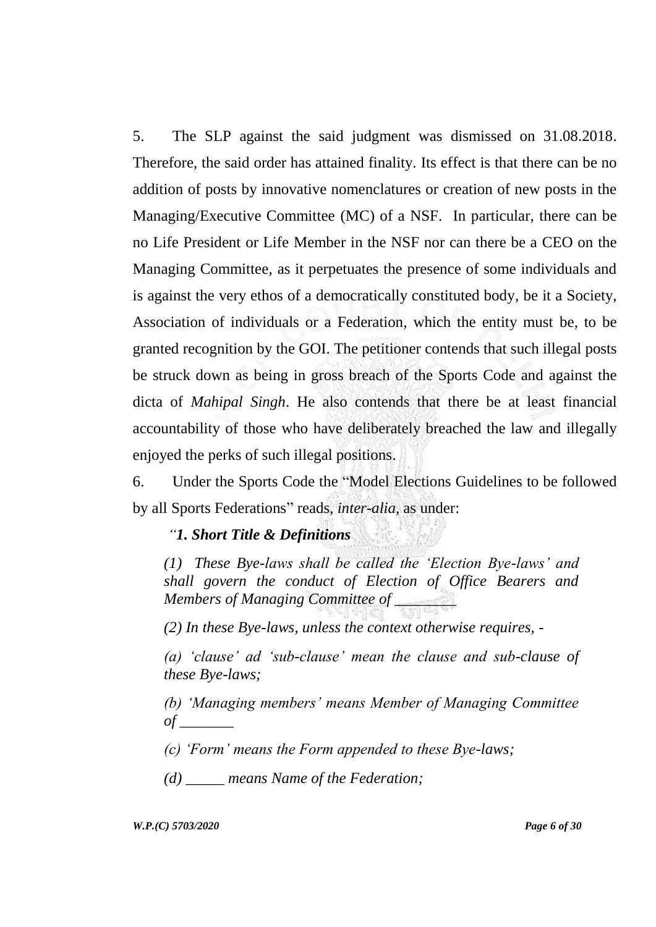5. The SLP against the said judgment was dismissed on 31.08.2018. Therefore, the said order has attained finality. Its effect is that there can be no addition of posts by innovative nomenclatures or creation of new posts in the Managing/Executive Committee (MC) of a NSF. In particular, there can be no Life President or Life Member in the NSF nor can there be a CEO on the Managing Committee, as it perpetuates the presence of some individuals and is against the very ethos of a democratically constituted body, be it a Society, Association of individuals or a Federation, which the entity must be, to be granted recognition by the GOI. The petitioner contends that such illegal posts be struck down as being in gross breach of the Sports Code and against the dicta of *Mahipal Singh*. He also contends that there be at least financial accountability of those who have deliberately breached the law and illegally enjoyed the perks of such illegal positions.

6. Under the Sports Code the "Model Elections Guidelines to be followed by all Sports Federations" reads, *inter-alia,* as under:

#### *"1. Short Title & Definitions*

*(1) These Bye-laws shall be called the "Election Bye-laws" and shall govern the conduct of Election of Office Bearers and Members of Managing Committee of \_\_\_\_\_\_\_\_*

*(2) In these Bye-laws, unless the context otherwise requires, -*

*(a) "clause" ad "sub-clause" mean the clause and sub-clause of these Bye-laws;*

*(b) "Managing members" means Member of Managing Committee of \_\_\_\_\_\_\_*

*(c) "Form" means the Form appended to these Bye-laws;*

*(d) \_\_\_\_\_ means Name of the Federation;*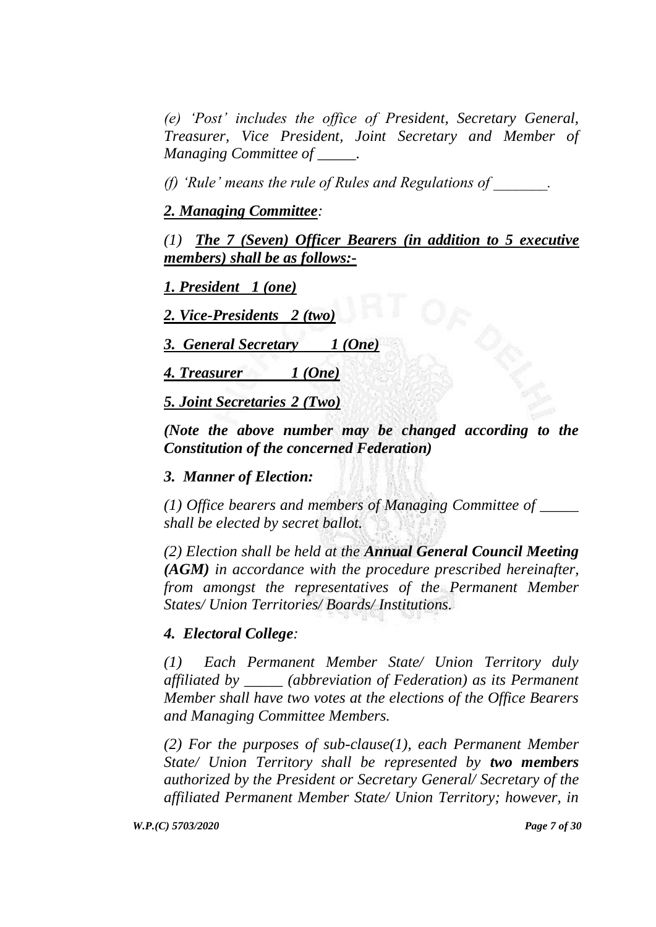*(e) "Post" includes the office of President, Secretary General, Treasurer, Vice President, Joint Secretary and Member of Managing Committee of \_\_\_\_\_.*

*(f) "Rule" means the rule of Rules and Regulations of \_\_\_\_\_\_\_.*

### *2. Managing Committee:*

*(1) The 7 (Seven) Officer Bearers (in addition to 5 executive members) shall be as follows:-*

*1. President 1 (one)*

*2. Vice-Presidents 2 (two)* 

*3. General Secretary 1 (One)*

*4. Treasurer 1 (One)*

*5. Joint Secretaries 2 (Two)*

*(Note the above number may be changed according to the Constitution of the concerned Federation)*

#### *3. Manner of Election:*

*(1) Office bearers and members of Managing Committee of \_\_\_\_\_ shall be elected by secret ballot.*

*(2) Election shall be held at the Annual General Council Meeting (AGM) in accordance with the procedure prescribed hereinafter, from amongst the representatives of the Permanent Member States/ Union Territories/ Boards/ Institutions.*

#### *4. Electoral College:*

*(1) Each Permanent Member State/ Union Territory duly affiliated by \_\_\_\_\_ (abbreviation of Federation) as its Permanent Member shall have two votes at the elections of the Office Bearers and Managing Committee Members.*

*(2) For the purposes of sub-clause(1), each Permanent Member State/ Union Territory shall be represented by two members authorized by the President or Secretary General/ Secretary of the affiliated Permanent Member State/ Union Territory; however, in*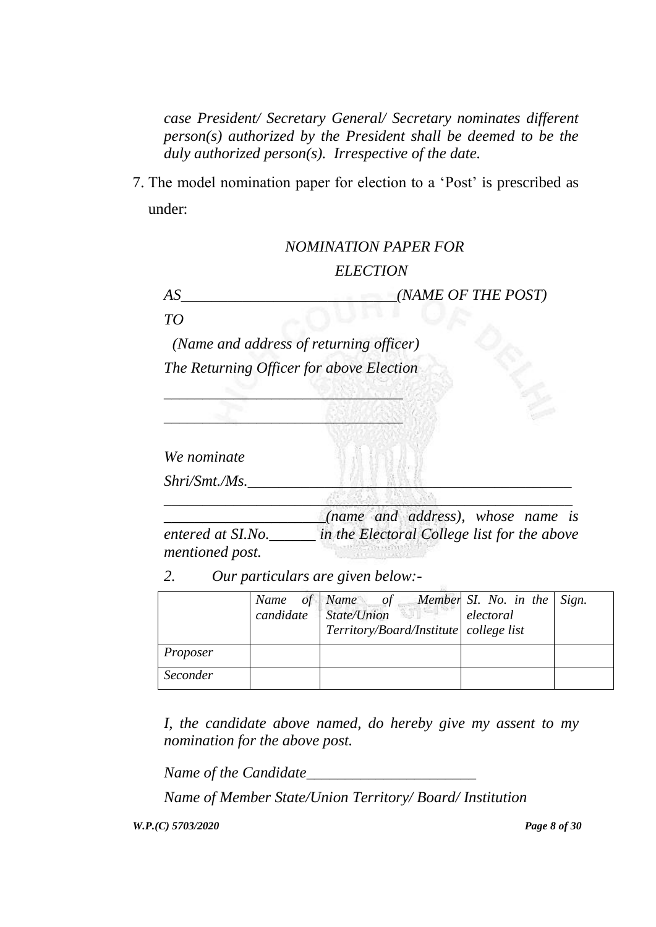*case President/ Secretary General/ Secretary nominates different person(s) authorized by the President shall be deemed to be the duly authorized person(s). Irrespective of the date.* 

7. The model nomination paper for election to a "Post" is prescribed as under:

# *NOMINATION PAPER FOR ELECTION*

*AS\_\_\_\_\_\_\_\_\_\_\_\_\_\_\_\_\_\_\_\_\_\_\_\_\_\_\_\_(NAME OF THE POST)*

*TO*

*(Name and address of returning officer) The Returning Officer for above Election* 

*\_\_\_\_\_\_\_\_\_\_\_\_\_\_\_\_\_\_\_\_\_\_\_\_\_\_\_\_\_\_\_*

\_\_\_\_\_\_\_\_\_\_\_\_\_\_\_\_\_\_\_\_\_\_\_\_\_\_\_\_\_\_\_

*We nominate*

*Shri/Smt./Ms.* 

*\_\_\_\_\_\_\_\_\_\_\_\_\_\_\_\_\_\_\_\_\_(name and address), whose name is entered at SI.No.\_\_\_\_\_\_ in the Electoral College list for the above mentioned post.* 

*\_\_\_\_\_\_\_\_\_\_\_\_\_\_\_\_\_\_\_\_\_\_\_\_\_\_\_\_\_\_\_\_\_\_\_\_\_\_\_\_\_\_\_\_\_\_\_\_\_\_\_\_\_*

*2. Our particulars are given below:-*

|          | Name of Name of Member SI. No. in the Sign.<br>candidate State/Union electoral<br>Territory/Board/Institute college list |  |
|----------|--------------------------------------------------------------------------------------------------------------------------|--|
| Proposer |                                                                                                                          |  |
| Seconder |                                                                                                                          |  |

*I, the candidate above named, do hereby give my assent to my nomination for the above post.*

*Name of the Candidate\_\_\_\_\_\_\_\_\_\_\_\_\_\_\_\_\_\_\_\_\_\_*

*Name of Member State/Union Territory/ Board/ Institution*

*W.P.(C) 5703/2020 Page 8 of 30*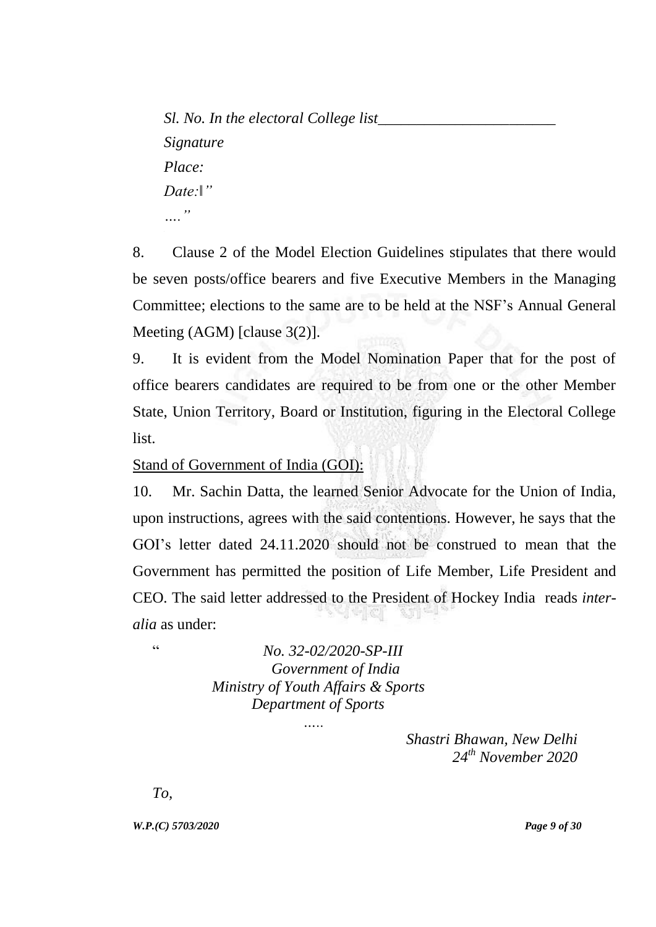*Sl. No. In the electoral College list\_\_\_\_\_\_\_\_\_\_\_\_\_\_\_\_\_\_\_\_\_\_\_ Signature Place: Date:‖" …."*

8. Clause 2 of the Model Election Guidelines stipulates that there would be seven posts/office bearers and five Executive Members in the Managing Committee; elections to the same are to be held at the NSF"s Annual General Meeting (AGM) [clause 3(2)].

9. It is evident from the Model Nomination Paper that for the post of office bearers candidates are required to be from one or the other Member State, Union Territory, Board or Institution, figuring in the Electoral College list.

Stand of Government of India (GOI):

10. Mr. Sachin Datta, the learned Senior Advocate for the Union of India, upon instructions, agrees with the said contentions. However, he says that the GOI"s letter dated 24.11.2020 should not be construed to mean that the Government has permitted the position of Life Member, Life President and CEO. The said letter addressed to the President of Hockey India reads *interalia* as under:

" *No. 32-02/2020-SP-III Government of India Ministry of Youth Affairs & Sports Department of Sports*

 *…..*

*Shastri Bhawan, New Delhi 24th November 2020*

*To,*

*W.P.(C) 5703/2020 Page 9 of 30*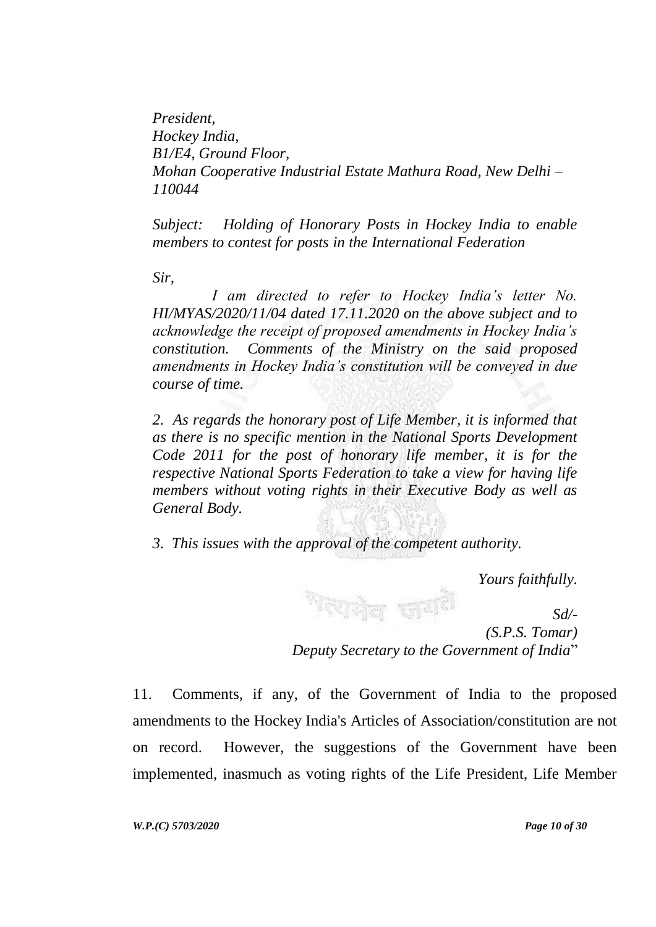*President, Hockey India, B1/E4, Ground Floor, Mohan Cooperative Industrial Estate Mathura Road, New Delhi – 110044*

*Subject: Holding of Honorary Posts in Hockey India to enable members to contest for posts in the International Federation*

*Sir,*

*I am directed to refer to Hockey India"s letter No. HI/MYAS/2020/11/04 dated 17.11.2020 on the above subject and to acknowledge the receipt of proposed amendments in Hockey India"s constitution. Comments of the Ministry on the said proposed amendments in Hockey India"s constitution will be conveyed in due course of time.*

*2. As regards the honorary post of Life Member, it is informed that as there is no specific mention in the National Sports Development Code 2011 for the post of honorary life member, it is for the respective National Sports Federation to take a view for having life members without voting rights in their Executive Body as well as General Body.*

*3. This issues with the approval of the competent authority.*

*Yours faithfully.*

<sup>ल</sup>िएकोल साम<sup>ही</sup> *Sd/- (S.P.S. Tomar) Deputy Secretary to the Government of India*"

11. Comments, if any, of the Government of India to the proposed amendments to the Hockey India's Articles of Association/constitution are not on record. However, the suggestions of the Government have been implemented, inasmuch as voting rights of the Life President, Life Member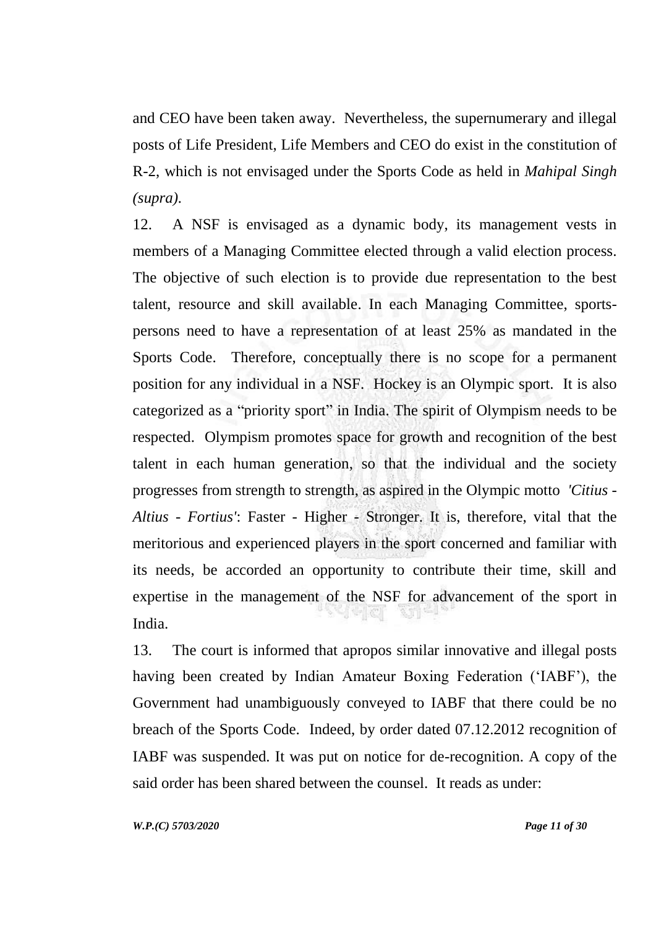and CEO have been taken away. Nevertheless, the supernumerary and illegal posts of Life President, Life Members and CEO do exist in the constitution of R-2, which is not envisaged under the Sports Code as held in *Mahipal Singh (supra).* 

12. A NSF is envisaged as a dynamic body, its management vests in members of a Managing Committee elected through a valid election process. The objective of such election is to provide due representation to the best talent, resource and skill available. In each Managing Committee, sportspersons need to have a representation of at least 25% as mandated in the Sports Code. Therefore, conceptually there is no scope for a permanent position for any individual in a NSF. Hockey is an Olympic sport. It is also categorized as a "priority sport" in India. The spirit of Olympism needs to be respected. Olympism promotes space for growth and recognition of the best talent in each human generation, so that the individual and the society progresses from strength to strength, as aspired in the Olympic motto *'Citius - Altius - Fortius'*: Faster - Higher - Stronger. It is, therefore, vital that the meritorious and experienced players in the sport concerned and familiar with its needs, be accorded an opportunity to contribute their time, skill and expertise in the management of the NSF for advancement of the sport in India.

13. The court is informed that apropos similar innovative and illegal posts having been created by Indian Amateur Boxing Federation ("IABF"), the Government had unambiguously conveyed to IABF that there could be no breach of the Sports Code. Indeed, by order dated 07.12.2012 recognition of IABF was suspended. It was put on notice for de-recognition. A copy of the said order has been shared between the counsel. It reads as under:

*W.P.(C) 5703/2020 Page 11 of 30*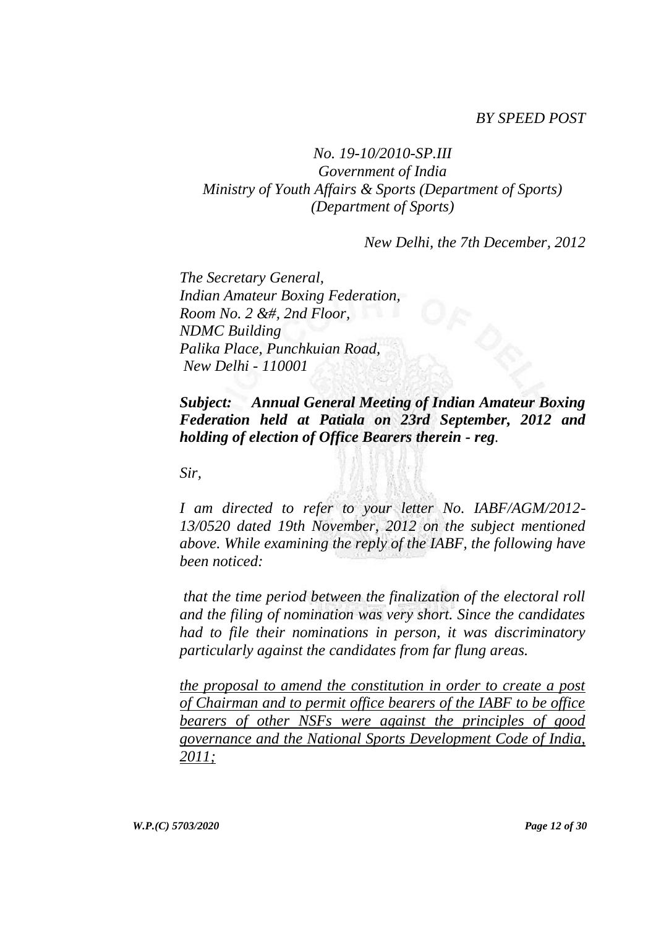#### *BY SPEED POST*

## *No. 19-10/2010-SP.III Government of India Ministry of Youth Affairs & Sports (Department of Sports) (Department of Sports)*

*New Delhi, the 7th December, 2012*

*The Secretary General, Indian Amateur Boxing Federation, Room No. 2 &#, 2nd Floor, NDMC Building Palika Place, Punchkuian Road, New Delhi - 110001*

*Subject: Annual General Meeting of Indian Amateur Boxing Federation held at Patiala on 23rd September, 2012 and holding of election of Office Bearers therein - reg.*

*Sir,*

*I am directed to refer to your letter No. IABF/AGM/2012- 13/0520 dated 19th November, 2012 on the subject mentioned above. While examining the reply of the IABF, the following have been noticed:*

*that the time period between the finalization of the electoral roll and the filing of nomination was very short. Since the candidates had to file their nominations in person, it was discriminatory particularly against the candidates from far flung areas.*

*the proposal to amend the constitution in order to create a post of Chairman and to permit office bearers of the IABF to be office bearers of other NSFs were against the principles of good governance and the National Sports Development Code of India, 2011;*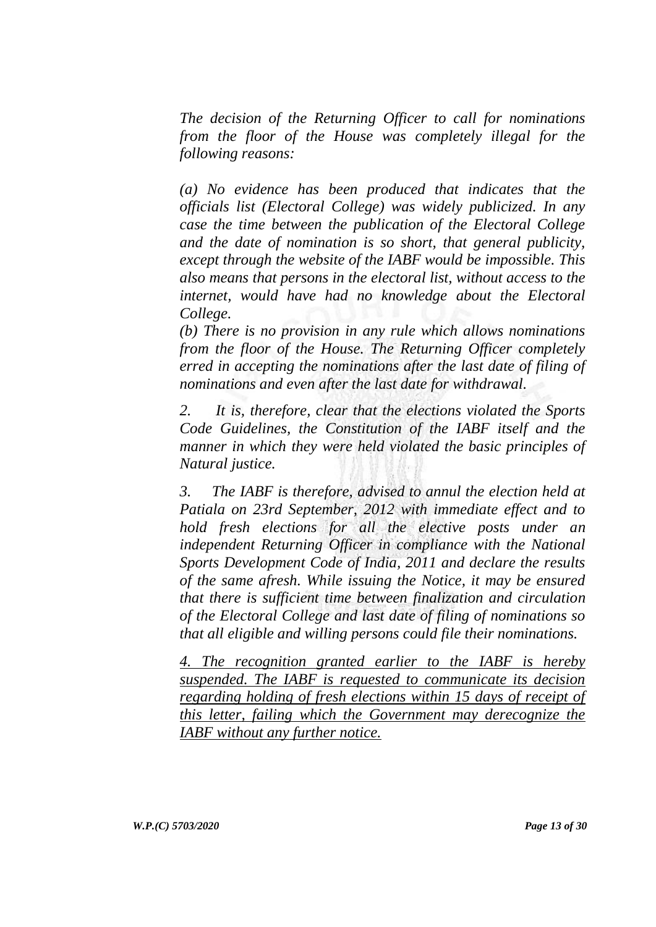*The decision of the Returning Officer to call for nominations from the floor of the House was completely illegal for the following reasons:*

*(a) No evidence has been produced that indicates that the officials list (Electoral College) was widely publicized. In any case the time between the publication of the Electoral College and the date of nomination is so short, that general publicity, except through the website of the IABF would be impossible. This also means that persons in the electoral list, without access to the internet, would have had no knowledge about the Electoral College.*

*(b) There is no provision in any rule which allows nominations from the floor of the House. The Returning Officer completely erred in accepting the nominations after the last date of filing of nominations and even after the last date for withdrawal.*

*2. It is, therefore, clear that the elections violated the Sports Code Guidelines, the Constitution of the IABF itself and the manner in which they were held violated the basic principles of Natural justice.*

*3. The IABF is therefore, advised to annul the election held at Patiala on 23rd September, 2012 with immediate effect and to hold fresh elections for all the elective posts under an independent Returning Officer in compliance with the National Sports Development Code of India, 2011 and declare the results of the same afresh. While issuing the Notice, it may be ensured that there is sufficient time between finalization and circulation of the Electoral College and last date of filing of nominations so that all eligible and willing persons could file their nominations.*

*4. The recognition granted earlier to the IABF is hereby suspended. The IABF is requested to communicate its decision regarding holding of fresh elections within 15 days of receipt of this letter, failing which the Government may derecognize the IABF without any further notice.*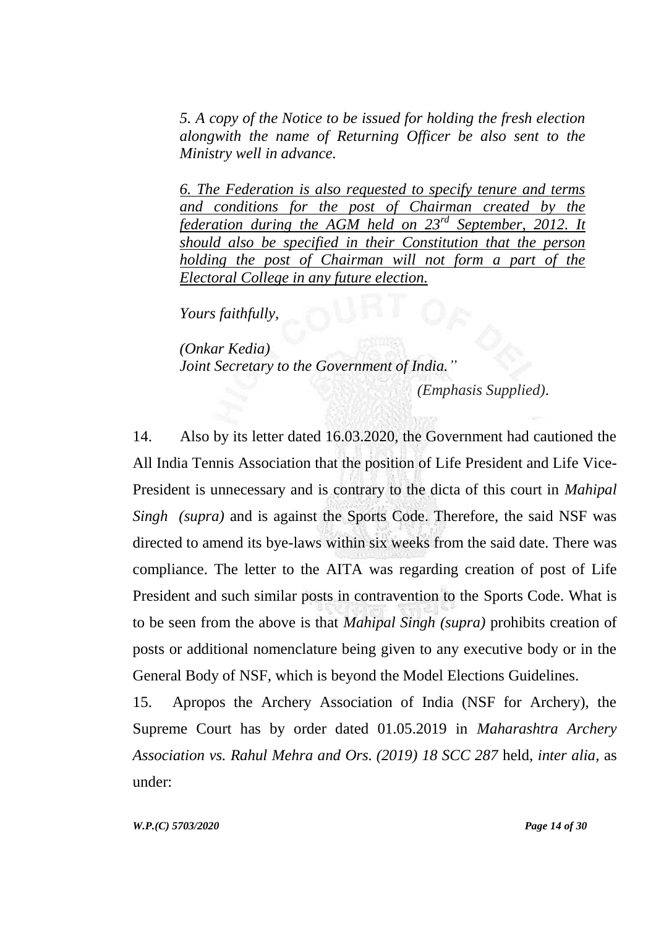*5. A copy of the Notice to be issued for holding the fresh election alongwith the name of Returning Officer be also sent to the Ministry well in advance.*

*6. The Federation is also requested to specify tenure and terms and conditions for the post of Chairman created by the federation during the AGM held on 23rd September, 2012. It should also be specified in their Constitution that the person holding the post of Chairman will not form a part of the Electoral College in any future election.*

*Yours faithfully,*

*(Onkar Kedia) Joint Secretary to the Government of India."* 

*(Emphasis Supplied)*.

14. Also by its letter dated 16.03.2020, the Government had cautioned the All India Tennis Association that the position of Life President and Life Vice-President is unnecessary and is contrary to the dicta of this court in *Mahipal Singh (supra)* and is against the Sports Code. Therefore, the said NSF was directed to amend its bye-laws within six weeks from the said date. There was compliance. The letter to the AITA was regarding creation of post of Life President and such similar posts in contravention to the Sports Code. What is to be seen from the above is that *Mahipal Singh (supra)* prohibits creation of posts or additional nomenclature being given to any executive body or in the General Body of NSF, which is beyond the Model Elections Guidelines.

15. Apropos the Archery Association of India (NSF for Archery), the Supreme Court has by order dated 01.05.2019 in *Maharashtra Archery Association vs. Rahul Mehra and Ors. (2019) 18 SCC 287* held, *inter alia,* as under:

*W.P.(C) 5703/2020 Page 14 of 30*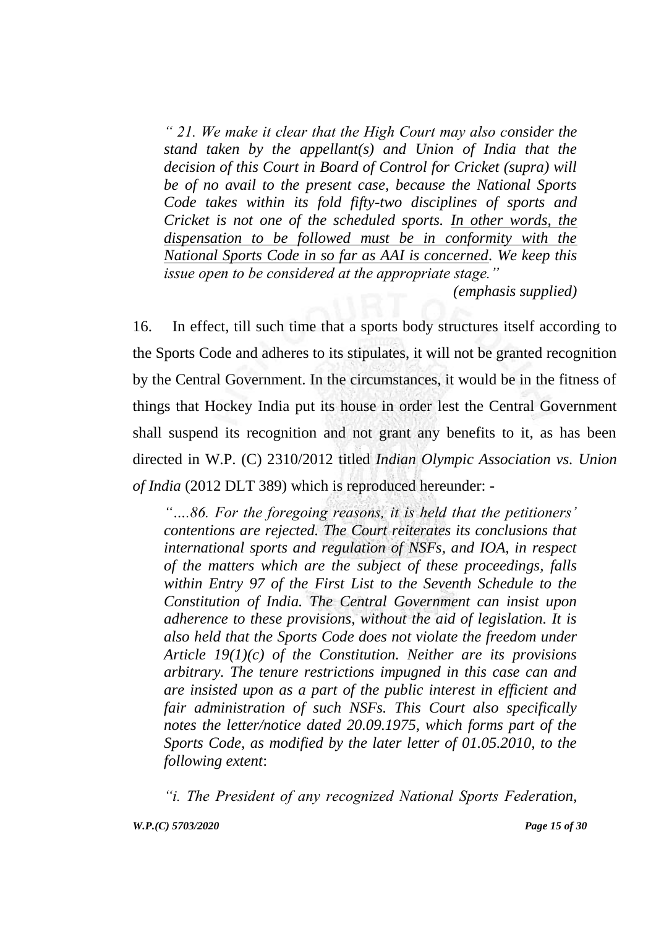*" 21. We make it clear that the High Court may also consider the stand taken by the appellant(s) and Union of India that the decision of this Court in Board of Control for Cricket (supra) will be of no avail to the present case, because the National Sports Code takes within its fold fifty-two disciplines of sports and Cricket is not one of the scheduled sports. In other words, the dispensation to be followed must be in conformity with the National Sports Code in so far as AAI is concerned. We keep this issue open to be considered at the appropriate stage."*

*(emphasis supplied)*

16. In effect, till such time that a sports body structures itself according to the Sports Code and adheres to its stipulates, it will not be granted recognition by the Central Government. In the circumstances, it would be in the fitness of things that Hockey India put its house in order lest the Central Government shall suspend its recognition and not grant any benefits to it, as has been directed in W.P. (C) 2310/2012 titled *Indian Olympic Association vs. Union of India* (2012 DLT 389) which is reproduced hereunder: -

*"….86. For the foregoing reasons, it is held that the petitioners" contentions are rejected. The Court reiterates its conclusions that international sports and regulation of NSFs, and IOA, in respect of the matters which are the subject of these proceedings, falls within Entry 97 of the First List to the Seventh Schedule to the Constitution of India. The Central Government can insist upon adherence to these provisions, without the aid of legislation. It is also held that the Sports Code does not violate the freedom under Article 19(1)(c) of the Constitution. Neither are its provisions arbitrary. The tenure restrictions impugned in this case can and are insisted upon as a part of the public interest in efficient and fair administration of such NSFs. This Court also specifically notes the letter/notice dated 20.09.1975, which forms part of the Sports Code, as modified by the later letter of 01.05.2010, to the following extent*:

*"i. The President of any recognized National Sports Federation,*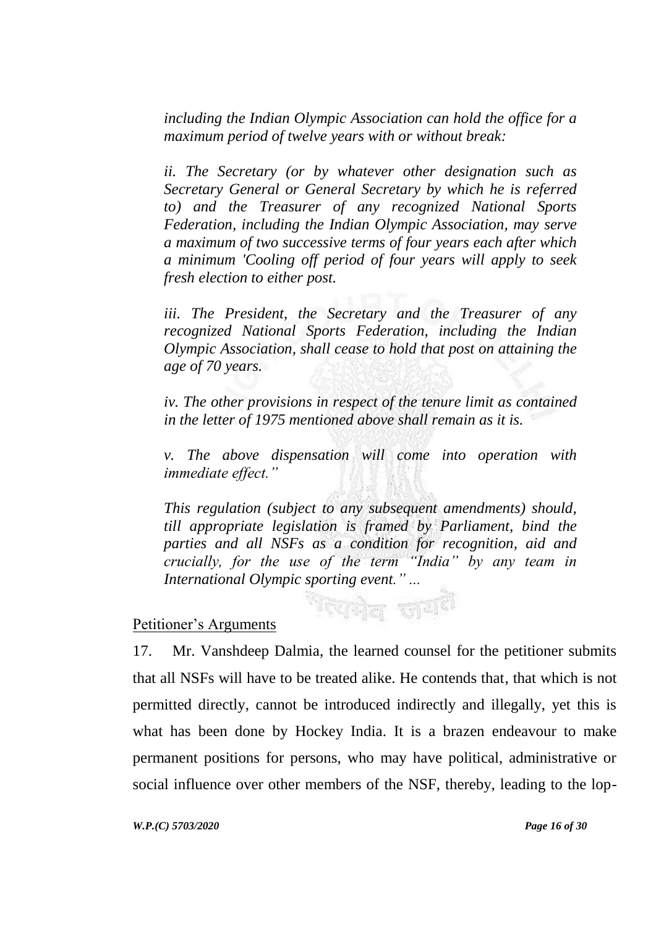*including the Indian Olympic Association can hold the office for a maximum period of twelve years with or without break:* 

*ii. The Secretary (or by whatever other designation such as Secretary General or General Secretary by which he is referred to) and the Treasurer of any recognized National Sports Federation, including the Indian Olympic Association, may serve a maximum of two successive terms of four years each after which a minimum 'Cooling off period of four years will apply to seek fresh election to either post.*

*iii. The President, the Secretary and the Treasurer of any recognized National Sports Federation, including the Indian Olympic Association, shall cease to hold that post on attaining the age of 70 years.*

*iv. The other provisions in respect of the tenure limit as contained in the letter of 1975 mentioned above shall remain as it is.* 

*v. The above dispensation will come into operation with immediate effect."*

*This regulation (subject to any subsequent amendments) should, till appropriate legislation is framed by Parliament, bind the parties and all NSFs as a condition for recognition, aid and crucially, for the use of the term "India" by any team in International Olympic sporting event." ...*

ग्यमेव जय

#### Petitioner"s Arguments

17. Mr. Vanshdeep Dalmia, the learned counsel for the petitioner submits that all NSFs will have to be treated alike. He contends that, that which is not permitted directly, cannot be introduced indirectly and illegally, yet this is what has been done by Hockey India. It is a brazen endeavour to make permanent positions for persons, who may have political, administrative or social influence over other members of the NSF, thereby, leading to the lop-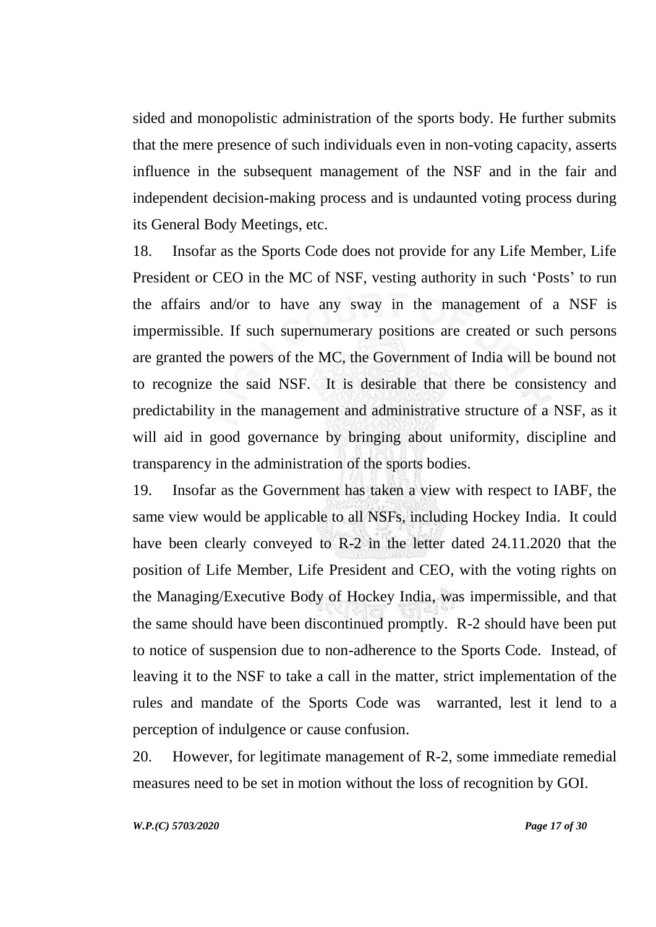sided and monopolistic administration of the sports body. He further submits that the mere presence of such individuals even in non-voting capacity, asserts influence in the subsequent management of the NSF and in the fair and independent decision-making process and is undaunted voting process during its General Body Meetings, etc.

18. Insofar as the Sports Code does not provide for any Life Member, Life President or CEO in the MC of NSF, vesting authority in such 'Posts' to run the affairs and/or to have any sway in the management of a NSF is impermissible. If such supernumerary positions are created or such persons are granted the powers of the MC, the Government of India will be bound not to recognize the said NSF. It is desirable that there be consistency and predictability in the management and administrative structure of a NSF, as it will aid in good governance by bringing about uniformity, discipline and transparency in the administration of the sports bodies.

19. Insofar as the Government has taken a view with respect to IABF, the same view would be applicable to all NSFs, including Hockey India. It could have been clearly conveyed to R-2 in the letter dated 24.11.2020 that the position of Life Member, Life President and CEO, with the voting rights on the Managing/Executive Body of Hockey India, was impermissible, and that the same should have been discontinued promptly. R-2 should have been put to notice of suspension due to non-adherence to the Sports Code. Instead, of leaving it to the NSF to take a call in the matter, strict implementation of the rules and mandate of the Sports Code was warranted, lest it lend to a perception of indulgence or cause confusion.

20. However, for legitimate management of R-2, some immediate remedial measures need to be set in motion without the loss of recognition by GOI.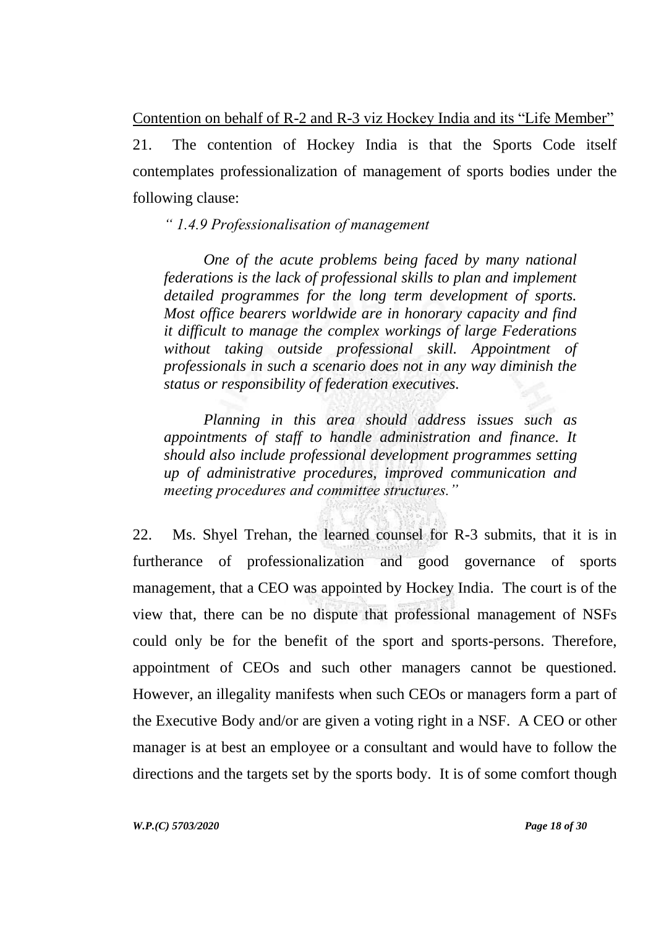Contention on behalf of R-2 and R-3 viz Hockey India and its "Life Member" 21. The contention of Hockey India is that the Sports Code itself contemplates professionalization of management of sports bodies under the following clause:

*" 1.4.9 Professionalisation of management*

*One of the acute problems being faced by many national federations is the lack of professional skills to plan and implement detailed programmes for the long term development of sports. Most office bearers worldwide are in honorary capacity and find it difficult to manage the complex workings of large Federations without taking outside professional skill. Appointment of professionals in such a scenario does not in any way diminish the status or responsibility of federation executives.*

*Planning in this area should address issues such as appointments of staff to handle administration and finance. It should also include professional development programmes setting up of administrative procedures, improved communication and meeting procedures and committee structures."* 

22. Ms. Shyel Trehan, the learned counsel for R-3 submits, that it is in furtherance of professionalization and good governance of sports management, that a CEO was appointed by Hockey India. The court is of the view that, there can be no dispute that professional management of NSFs could only be for the benefit of the sport and sports-persons. Therefore, appointment of CEOs and such other managers cannot be questioned. However, an illegality manifests when such CEOs or managers form a part of the Executive Body and/or are given a voting right in a NSF. A CEO or other manager is at best an employee or a consultant and would have to follow the directions and the targets set by the sports body. It is of some comfort though

*W.P.(C) 5703/2020 Page 18 of 30*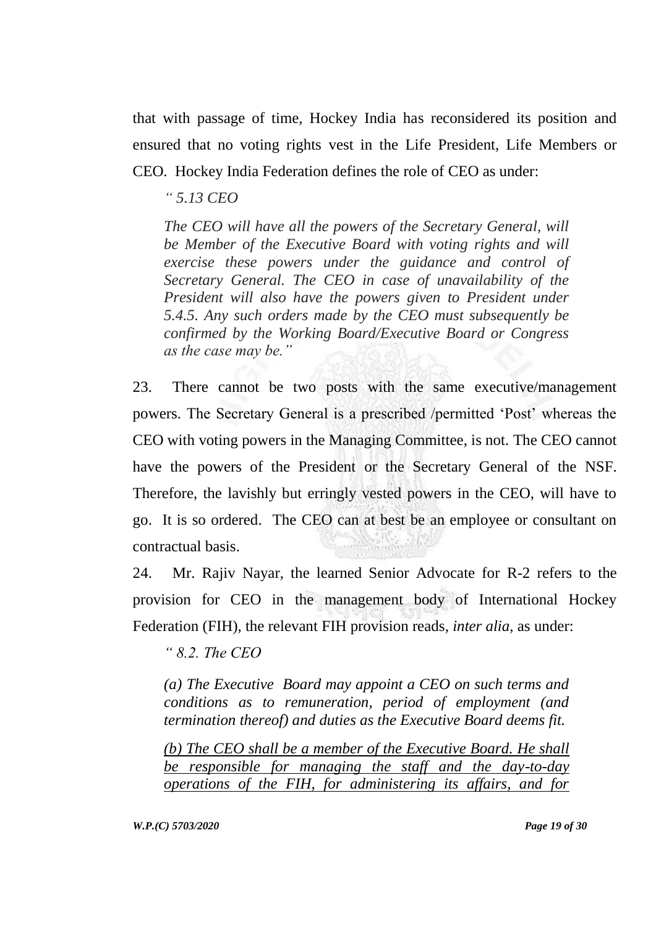that with passage of time, Hockey India has reconsidered its position and ensured that no voting rights vest in the Life President, Life Members or CEO. Hockey India Federation defines the role of CEO as under:

*" 5.13 CEO*

*The CEO will have all the powers of the Secretary General, will be Member of the Executive Board with voting rights and will exercise these powers under the guidance and control of Secretary General. The CEO in case of unavailability of the President will also have the powers given to President under 5.4.5. Any such orders made by the CEO must subsequently be confirmed by the Working Board/Executive Board or Congress as the case may be."* 

23. There cannot be two posts with the same executive/management powers. The Secretary General is a prescribed /permitted "Post" whereas the CEO with voting powers in the Managing Committee, is not. The CEO cannot have the powers of the President or the Secretary General of the NSF. Therefore, the lavishly but erringly vested powers in the CEO, will have to go. It is so ordered. The CEO can at best be an employee or consultant on contractual basis.

24. Mr. Rajiv Nayar, the learned Senior Advocate for R-2 refers to the provision for CEO in the management body of International Hockey Federation (FIH), the relevant FIH provision reads, *inter alia*, as under:

*" 8.2. The CEO*

*(a) The Executive Board may appoint a CEO on such terms and conditions as to remuneration, period of employment (and termination thereof) and duties as the Executive Board deems fit.*

*(b) The CEO shall be a member of the Executive Board. He shall be responsible for managing the staff and the day-to-day operations of the FIH, for administering its affairs, and for*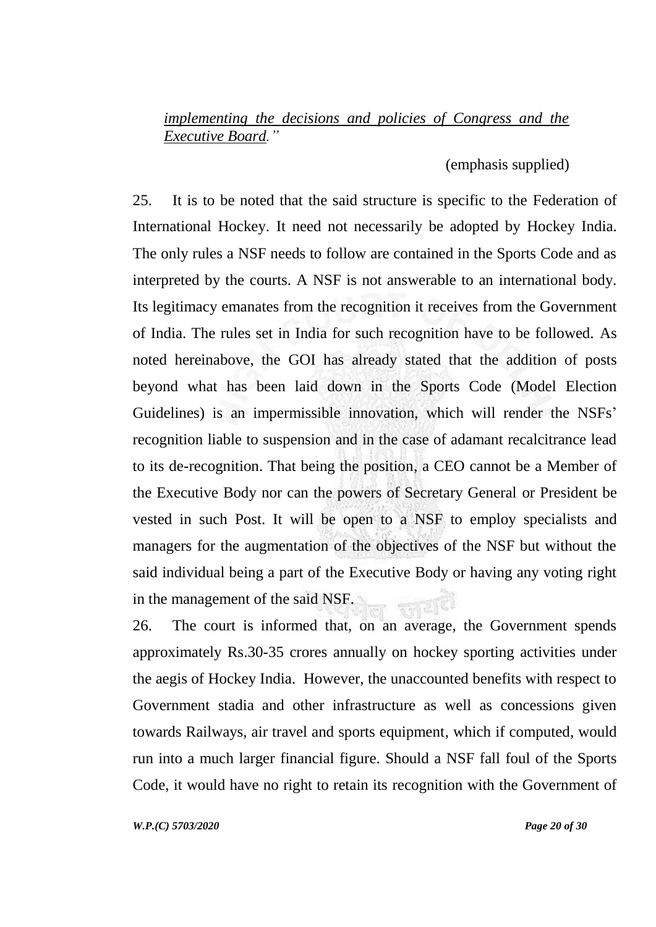## *implementing the decisions and policies of Congress and the Executive Board."*

(emphasis supplied)

25. It is to be noted that the said structure is specific to the Federation of International Hockey. It need not necessarily be adopted by Hockey India. The only rules a NSF needs to follow are contained in the Sports Code and as interpreted by the courts. A NSF is not answerable to an international body. Its legitimacy emanates from the recognition it receives from the Government of India. The rules set in India for such recognition have to be followed. As noted hereinabove, the GOI has already stated that the addition of posts beyond what has been laid down in the Sports Code (Model Election Guidelines) is an impermissible innovation, which will render the NSFs' recognition liable to suspension and in the case of adamant recalcitrance lead to its de-recognition. That being the position, a CEO cannot be a Member of the Executive Body nor can the powers of Secretary General or President be vested in such Post. It will be open to a NSF to employ specialists and managers for the augmentation of the objectives of the NSF but without the said individual being a part of the Executive Body or having any voting right in the management of the said NSF. **WEIG** 

26. The court is informed that, on an average, the Government spends approximately Rs.30-35 crores annually on hockey sporting activities under the aegis of Hockey India. However, the unaccounted benefits with respect to Government stadia and other infrastructure as well as concessions given towards Railways, air travel and sports equipment, which if computed, would run into a much larger financial figure. Should a NSF fall foul of the Sports Code, it would have no right to retain its recognition with the Government of

*W.P.(C) 5703/2020 Page 20 of 30*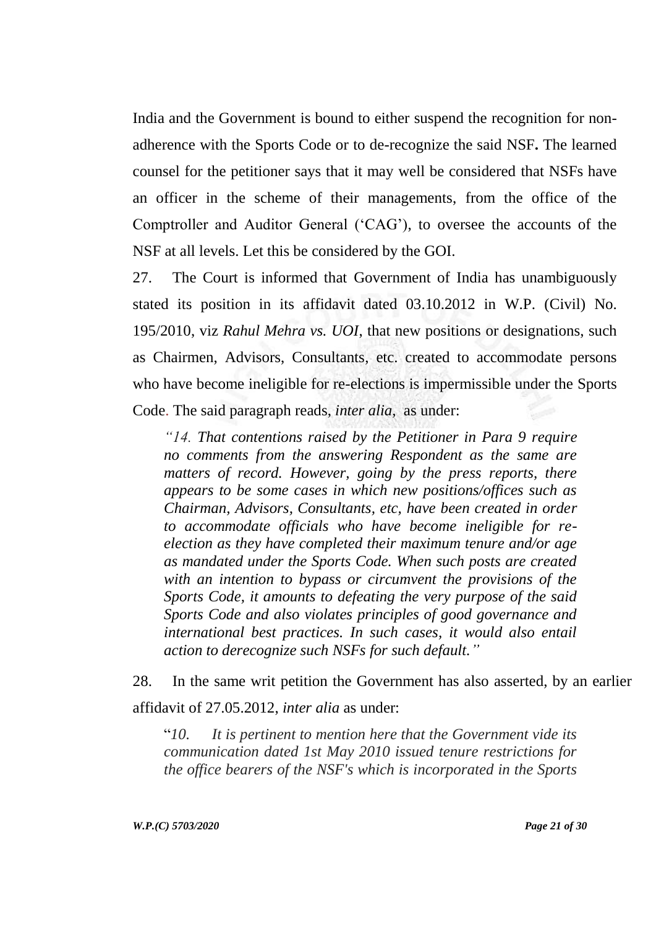India and the Government is bound to either suspend the recognition for nonadherence with the Sports Code or to de-recognize the said NSF**.** The learned counsel for the petitioner says that it may well be considered that NSFs have an officer in the scheme of their managements, from the office of the Comptroller and Auditor General ("CAG"), to oversee the accounts of the NSF at all levels. Let this be considered by the GOI.

27. The Court is informed that Government of India has unambiguously stated its position in its affidavit dated 03.10.2012 in W.P. (Civil) No. 195/2010, viz *Rahul Mehra vs. UOI*, that new positions or designations, such as Chairmen, Advisors, Consultants, etc. created to accommodate persons who have become ineligible for re-elections is impermissible under the Sports Code. The said paragraph reads, *inter alia,* as under:

*"14. That contentions raised by the Petitioner in Para 9 require no comments from the answering Respondent as the same are matters of record. However, going by the press reports, there appears to be some cases in which new positions/offices such as Chairman, Advisors, Consultants, etc, have been created in order to accommodate officials who have become ineligible for reelection as they have completed their maximum tenure and/or age as mandated under the Sports Code. When such posts are created with an intention to bypass or circumvent the provisions of the Sports Code, it amounts to defeating the very purpose of the said Sports Code and also violates principles of good governance and international best practices. In such cases, it would also entail action to derecognize such NSFs for such default."*

28. In the same writ petition the Government has also asserted, by an earlier affidavit of 27.05.2012, *inter alia* as under:

"*10. It is pertinent to mention here that the Government vide its communication dated 1st May 2010 issued tenure restrictions for the office bearers of the NSF's which is incorporated in the Sports*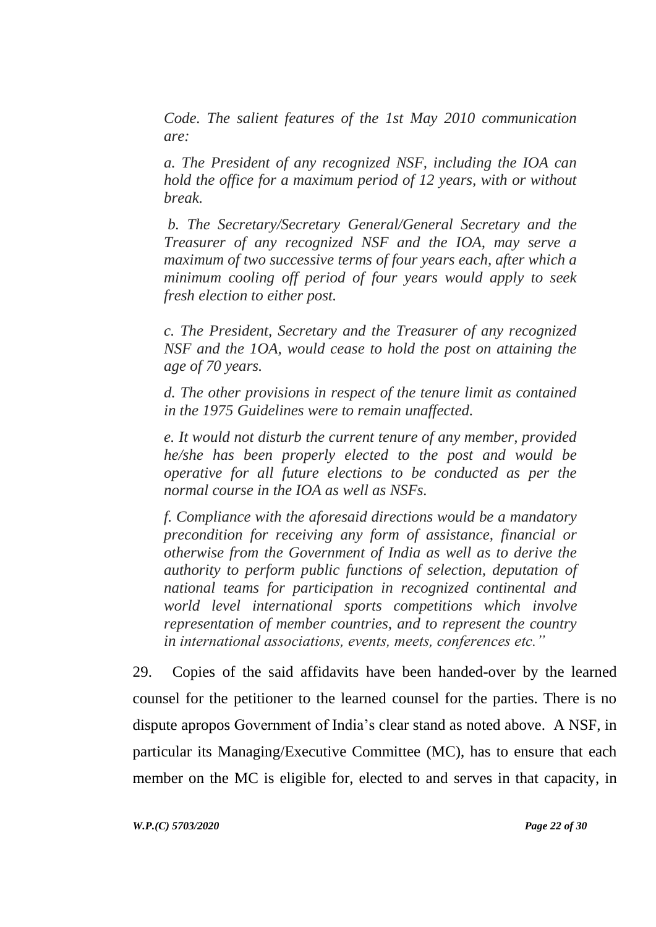*Code. The salient features of the 1st May 2010 communication are:*

*a. The President of any recognized NSF, including the IOA can hold the office for a maximum period of 12 years, with or without break.*

*b. The Secretary/Secretary General/General Secretary and the Treasurer of any recognized NSF and the IOA, may serve a maximum of two successive terms of four years each, after which a minimum cooling off period of four years would apply to seek fresh election to either post.*

*c. The President, Secretary and the Treasurer of any recognized NSF and the 1OA, would cease to hold the post on attaining the age of 70 years.*

*d. The other provisions in respect of the tenure limit as contained in the 1975 Guidelines were to remain unaffected.*

*e. It would not disturb the current tenure of any member, provided he/she has been properly elected to the post and would be operative for all future elections to be conducted as per the normal course in the IOA as well as NSFs.*

*f. Compliance with the aforesaid directions would be a mandatory precondition for receiving any form of assistance, financial or otherwise from the Government of India as well as to derive the authority to perform public functions of selection, deputation of national teams for participation in recognized continental and world level international sports competitions which involve representation of member countries, and to represent the country in international associations, events, meets, conferences etc."*

29. Copies of the said affidavits have been handed-over by the learned counsel for the petitioner to the learned counsel for the parties. There is no dispute apropos Government of India"s clear stand as noted above. A NSF, in particular its Managing/Executive Committee (MC), has to ensure that each member on the MC is eligible for, elected to and serves in that capacity, in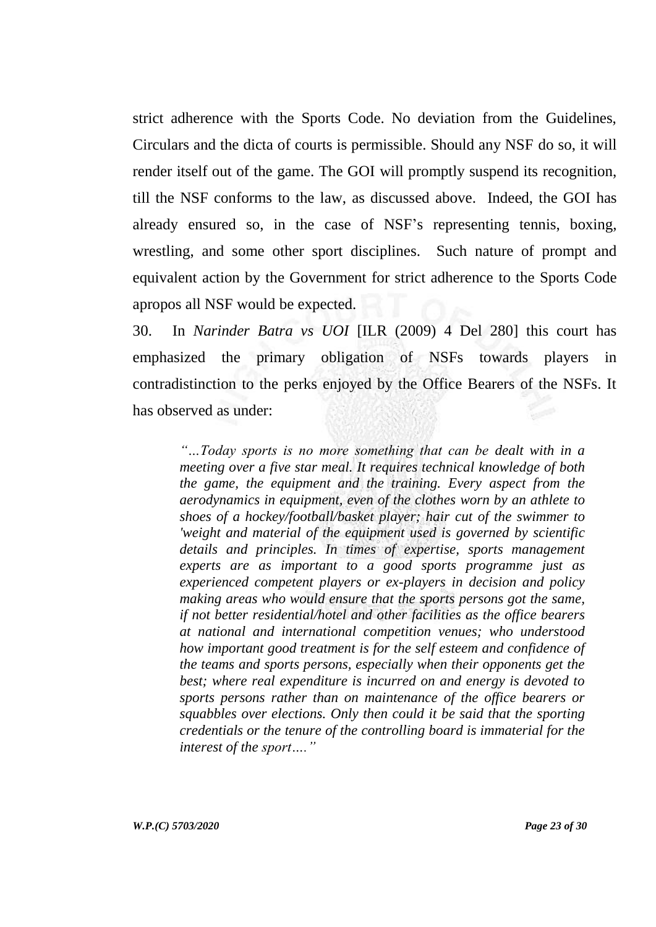strict adherence with the Sports Code. No deviation from the Guidelines, Circulars and the dicta of courts is permissible. Should any NSF do so, it will render itself out of the game. The GOI will promptly suspend its recognition, till the NSF conforms to the law, as discussed above. Indeed, the GOI has already ensured so, in the case of NSF"s representing tennis, boxing, wrestling, and some other sport disciplines. Such nature of prompt and equivalent action by the Government for strict adherence to the Sports Code apropos all NSF would be expected.

30. In *Narinder Batra vs UOI* [ILR (2009) 4 Del 280] this court has emphasized the primary obligation of NSFs towards players in contradistinction to the perks enjoyed by the Office Bearers of the NSFs. It has observed as under:

*"…Today sports is no more something that can be dealt with in a meeting over a five star meal. It requires technical knowledge of both the game, the equipment and the training. Every aspect from the aerodynamics in equipment, even of the clothes worn by an athlete to shoes of a hockey/football/basket player; hair cut of the swimmer to 'weight and material of the equipment used is governed by scientific details and principles. In times of expertise, sports management experts are as important to a good sports programme just as experienced competent players or ex-players in decision and policy making areas who would ensure that the sports persons got the same, if not better residential/hotel and other facilities as the office bearers at national and international competition venues; who understood how important good treatment is for the self esteem and confidence of the teams and sports persons, especially when their opponents get the best; where real expenditure is incurred on and energy is devoted to sports persons rather than on maintenance of the office bearers or squabbles over elections. Only then could it be said that the sporting credentials or the tenure of the controlling board is immaterial for the interest of the sport…."*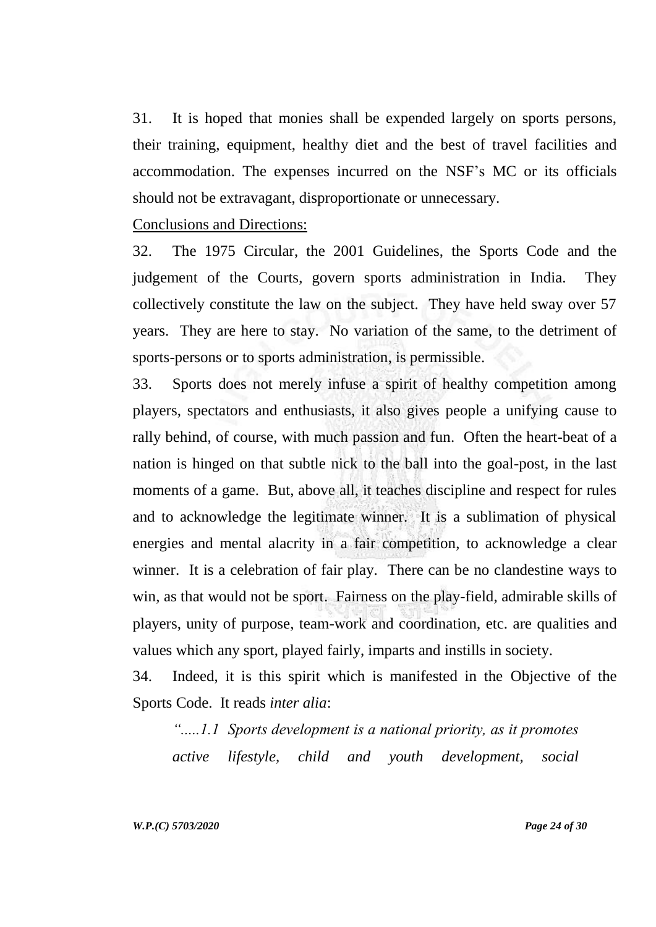31. It is hoped that monies shall be expended largely on sports persons, their training, equipment, healthy diet and the best of travel facilities and accommodation. The expenses incurred on the NSF"s MC or its officials should not be extravagant, disproportionate or unnecessary.

Conclusions and Directions:

32. The 1975 Circular, the 2001 Guidelines, the Sports Code and the judgement of the Courts, govern sports administration in India. They collectively constitute the law on the subject. They have held sway over 57 years. They are here to stay. No variation of the same, to the detriment of sports-persons or to sports administration, is permissible.

33. Sports does not merely infuse a spirit of healthy competition among players, spectators and enthusiasts, it also gives people a unifying cause to rally behind, of course, with much passion and fun. Often the heart-beat of a nation is hinged on that subtle nick to the ball into the goal-post, in the last moments of a game. But, above all, it teaches discipline and respect for rules and to acknowledge the legitimate winner. It is a sublimation of physical energies and mental alacrity in a fair competition, to acknowledge a clear winner. It is a celebration of fair play. There can be no clandestine ways to win, as that would not be sport. Fairness on the play-field, admirable skills of players, unity of purpose, team-work and coordination, etc. are qualities and values which any sport, played fairly, imparts and instills in society.

34. Indeed, it is this spirit which is manifested in the Objective of the Sports Code. It reads *inter alia*:

*".....1.1 Sports development is a national priority, as it promotes active lifestyle, child and youth development, social*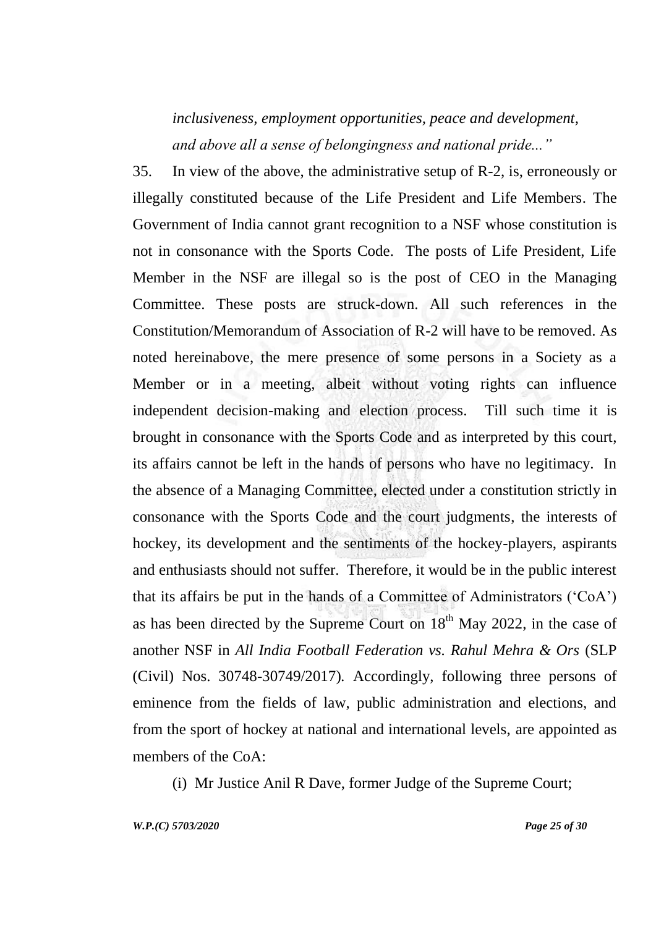# *inclusiveness, employment opportunities, peace and development, and above all a sense of belongingness and national pride..."*

35. In view of the above, the administrative setup of R-2, is, erroneously or illegally constituted because of the Life President and Life Members. The Government of India cannot grant recognition to a NSF whose constitution is not in consonance with the Sports Code. The posts of Life President, Life Member in the NSF are illegal so is the post of CEO in the Managing Committee. These posts are struck-down. All such references in the Constitution/Memorandum of Association of R-2 will have to be removed. As noted hereinabove, the mere presence of some persons in a Society as a Member or in a meeting, albeit without voting rights can influence independent decision-making and election process. Till such time it is brought in consonance with the Sports Code and as interpreted by this court, its affairs cannot be left in the hands of persons who have no legitimacy. In the absence of a Managing Committee, elected under a constitution strictly in consonance with the Sports Code and the court judgments, the interests of hockey, its development and the sentiments of the hockey-players, aspirants and enthusiasts should not suffer. Therefore, it would be in the public interest that its affairs be put in the hands of a Committee of Administrators ("CoA") as has been directed by the Supreme Court on  $18<sup>th</sup>$  May 2022, in the case of another NSF in *All India Football Federation vs. Rahul Mehra & Ors* (SLP (Civil) Nos. 30748-30749/2017)*.* Accordingly, following three persons of eminence from the fields of law, public administration and elections, and from the sport of hockey at national and international levels, are appointed as members of the CoA:

(i) Mr Justice Anil R Dave, former Judge of the Supreme Court;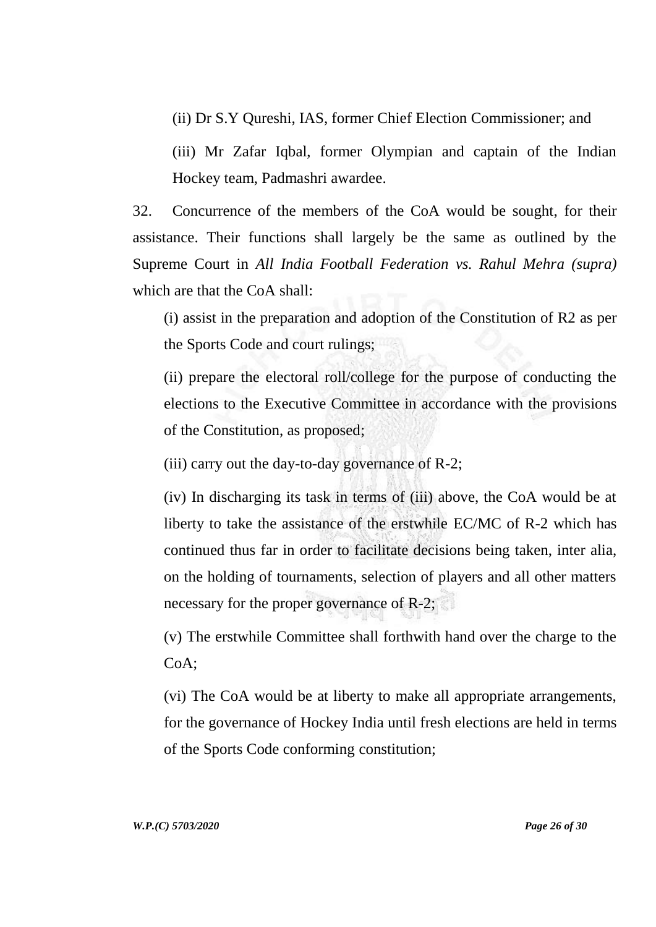(ii) Dr S.Y Qureshi, IAS, former Chief Election Commissioner; and

(iii) Mr Zafar Iqbal, former Olympian and captain of the Indian Hockey team, Padmashri awardee.

32. Concurrence of the members of the CoA would be sought, for their assistance. Their functions shall largely be the same as outlined by the Supreme Court in *All India Football Federation vs. Rahul Mehra (supra)*  which are that the CoA shall:

(i) assist in the preparation and adoption of the Constitution of R2 as per the Sports Code and court rulings;

(ii) prepare the electoral roll/college for the purpose of conducting the elections to the Executive Committee in accordance with the provisions of the Constitution, as proposed;

(iii) carry out the day-to-day governance of R-2;

(iv) In discharging its task in terms of (iii) above, the CoA would be at liberty to take the assistance of the erstwhile EC/MC of R-2 which has continued thus far in order to facilitate decisions being taken, inter alia, on the holding of tournaments, selection of players and all other matters necessary for the proper governance of R-2;

(v) The erstwhile Committee shall forthwith hand over the charge to the CoA;

(vi) The CoA would be at liberty to make all appropriate arrangements, for the governance of Hockey India until fresh elections are held in terms of the Sports Code conforming constitution;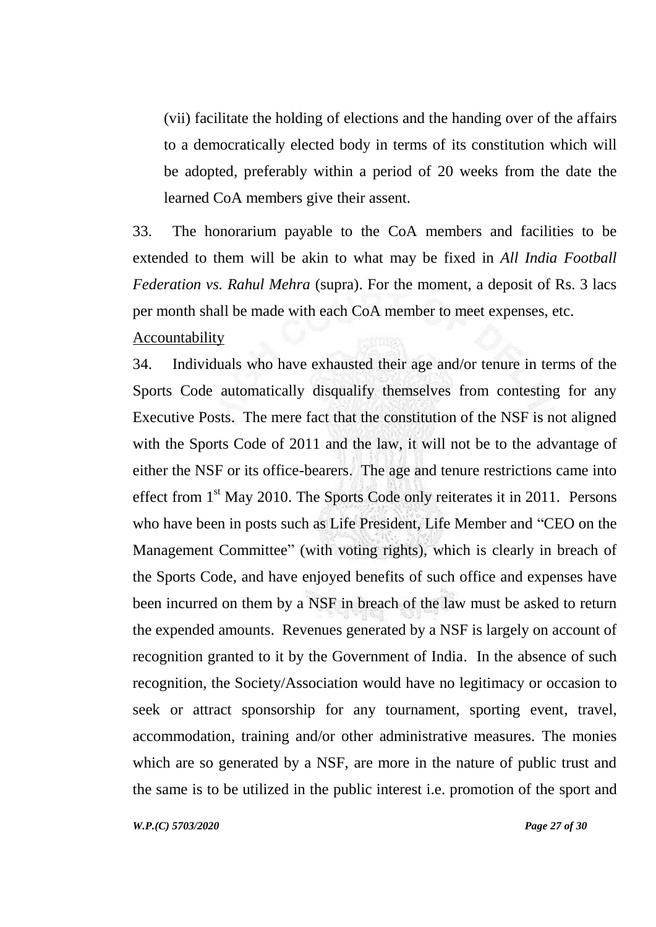(vii) facilitate the holding of elections and the handing over of the affairs to a democratically elected body in terms of its constitution which will be adopted, preferably within a period of 20 weeks from the date the learned CoA members give their assent.

33. The honorarium payable to the CoA members and facilities to be extended to them will be akin to what may be fixed in *All India Football Federation vs. Rahul Mehra* (supra). For the moment, a deposit of Rs. 3 lacs per month shall be made with each CoA member to meet expenses, etc. Accountability

34. Individuals who have exhausted their age and/or tenure in terms of the Sports Code automatically disqualify themselves from contesting for any Executive Posts. The mere fact that the constitution of the NSF is not aligned with the Sports Code of 2011 and the law, it will not be to the advantage of either the NSF or its office-bearers. The age and tenure restrictions came into effect from 1<sup>st</sup> May 2010. The Sports Code only reiterates it in 2011. Persons who have been in posts such as Life President, Life Member and "CEO on the Management Committee" (with voting rights), which is clearly in breach of the Sports Code, and have enjoyed benefits of such office and expenses have been incurred on them by a NSF in breach of the law must be asked to return the expended amounts. Revenues generated by a NSF is largely on account of recognition granted to it by the Government of India. In the absence of such recognition, the Society/Association would have no legitimacy or occasion to seek or attract sponsorship for any tournament, sporting event, travel, accommodation, training and/or other administrative measures. The monies which are so generated by a NSF, are more in the nature of public trust and the same is to be utilized in the public interest i.e. promotion of the sport and

*W.P.(C) 5703/2020 Page 27 of 30*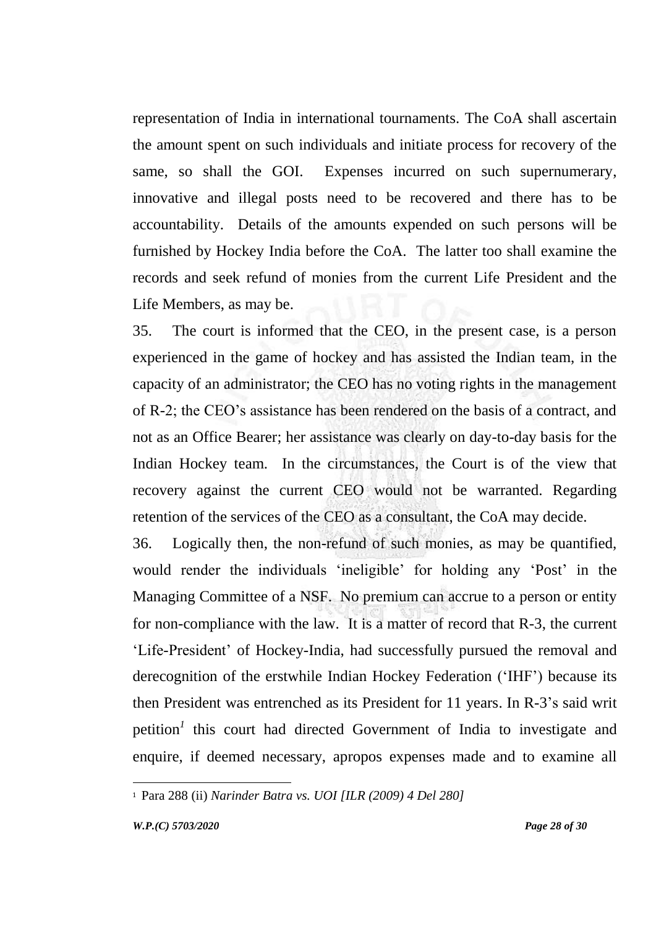representation of India in international tournaments. The CoA shall ascertain the amount spent on such individuals and initiate process for recovery of the same, so shall the GOI. Expenses incurred on such supernumerary, innovative and illegal posts need to be recovered and there has to be accountability. Details of the amounts expended on such persons will be furnished by Hockey India before the CoA. The latter too shall examine the records and seek refund of monies from the current Life President and the Life Members, as may be.

35. The court is informed that the CEO, in the present case, is a person experienced in the game of hockey and has assisted the Indian team, in the capacity of an administrator; the CEO has no voting rights in the management of R-2; the CEO"s assistance has been rendered on the basis of a contract, and not as an Office Bearer; her assistance was clearly on day-to-day basis for the Indian Hockey team. In the circumstances, the Court is of the view that recovery against the current CEO would not be warranted. Regarding retention of the services of the CEO as a consultant, the CoA may decide.

36. Logically then, the non-refund of such monies, as may be quantified, would render the individuals 'ineligible' for holding any 'Post' in the Managing Committee of a NSF. No premium can accrue to a person or entity for non-compliance with the law. It is a matter of record that R-3, the current "Life-President" of Hockey-India, had successfully pursued the removal and derecognition of the erstwhile Indian Hockey Federation ("IHF") because its then President was entrenched as its President for 11 years. In R-3"s said writ petition*<sup>1</sup>* this court had directed Government of India to investigate and enquire, if deemed necessary, apropos expenses made and to examine all

<sup>1</sup> Para 288 (ii) *Narinder Batra vs. UOI [ILR (2009) 4 Del 280]*

l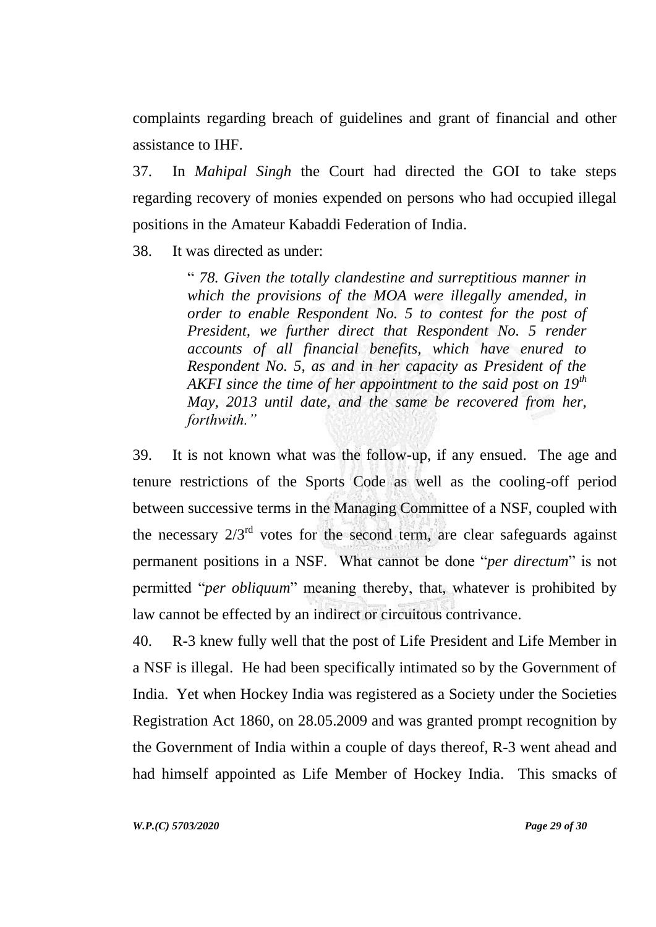complaints regarding breach of guidelines and grant of financial and other assistance to IHF.

37. In *Mahipal Singh* the Court had directed the GOI to take steps regarding recovery of monies expended on persons who had occupied illegal positions in the Amateur Kabaddi Federation of India.

38. It was directed as under:

" *78. Given the totally clandestine and surreptitious manner in which the provisions of the MOA were illegally amended, in order to enable Respondent No. 5 to contest for the post of President, we further direct that Respondent No. 5 render accounts of all financial benefits, which have enured to Respondent No. 5, as and in her capacity as President of the AKFI since the time of her appointment to the said post on 19th May, 2013 until date, and the same be recovered from her, forthwith."*

39. It is not known what was the follow-up, if any ensued. The age and tenure restrictions of the Sports Code as well as the cooling-off period between successive terms in the Managing Committee of a NSF, coupled with the necessary  $2/3<sup>rd</sup>$  votes for the second term, are clear safeguards against permanent positions in a NSF. What cannot be done "*per directum*" is not permitted "*per obliquum*" meaning thereby, that, whatever is prohibited by law cannot be effected by an indirect or circuitous contrivance.

40. R-3 knew fully well that the post of Life President and Life Member in a NSF is illegal. He had been specifically intimated so by the Government of India. Yet when Hockey India was registered as a Society under the Societies Registration Act 1860, on 28.05.2009 and was granted prompt recognition by the Government of India within a couple of days thereof, R-3 went ahead and had himself appointed as Life Member of Hockey India. This smacks of

*W.P.(C) 5703/2020 Page 29 of 30*